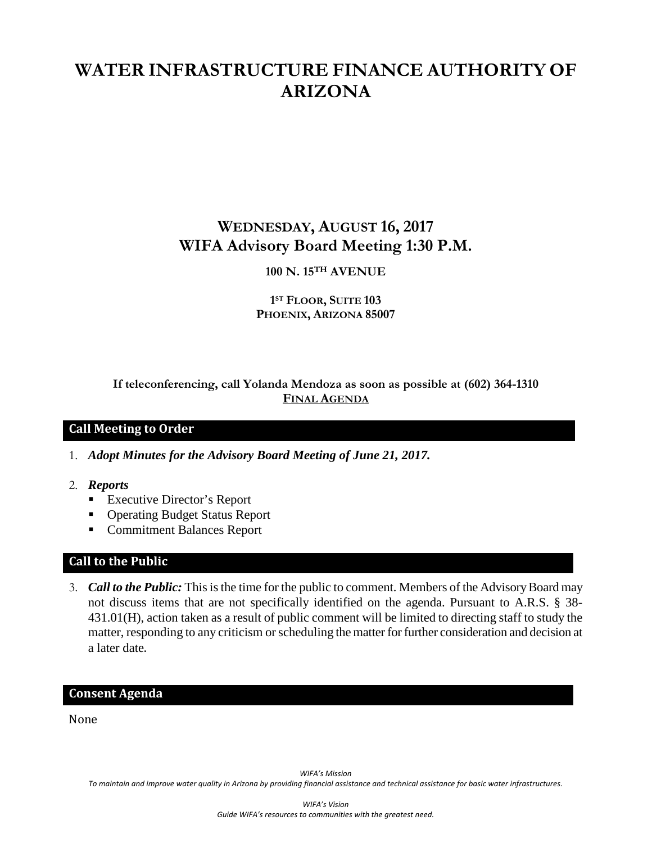# **WATER INFRASTRUCTURE FINANCE AUTHORITY OF ARIZONA**

## **WEDNESDAY, AUGUST 16, 2017 WIFA Advisory Board Meeting 1:30 P.M.**

## **100 N. 15TH AVENUE**

#### **1ST FLOOR, SUITE 103 PHOENIX, ARIZONA 85007**

**If teleconferencing, call Yolanda Mendoza as soon as possible at (602) 364-1310 FINAL AGENDA**

#### **Call Meeting to Order**

1. *Adopt Minutes for the Advisory Board Meeting of June 21, 2017.*

- 2. *Reports*
	- Executive Director's Report
	- Operating Budget Status Report
	- Commitment Balances Report

#### **Call to the Public**

3. *Call to the Public:* This is the time for the public to comment. Members of the Advisory Board may not discuss items that are not specifically identified on the agenda. Pursuant to A.R.S. § 38- 431.01(H), action taken as a result of public comment will be limited to directing staff to study the matter, responding to any criticism or scheduling the matter for further consideration and decision at a later date.

#### **Consent Agenda**

None

*WIFA's Mission To maintain and improve water quality in Arizona by providing financial assistance and technical assistance for basic water infrastructures.*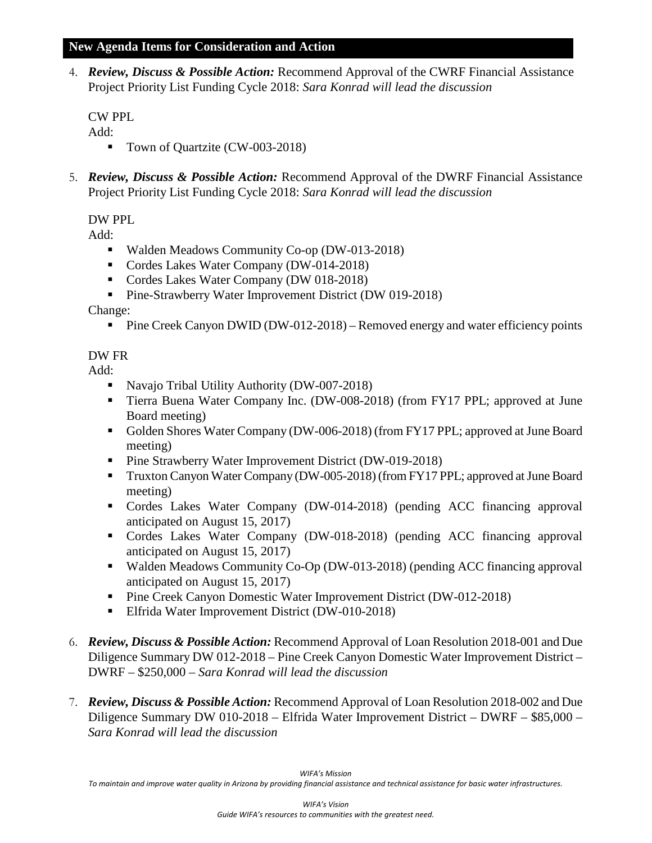#### **New Agenda Items for Consideration and Action**

4. *Review, Discuss & Possible Action:* Recommend Approval of the CWRF Financial Assistance Project Priority List Funding Cycle 2018: *Sara Konrad will lead the discussion*

CW PPL

Add:

- Town of Quartzite (CW-003-2018)
- 5. *Review, Discuss & Possible Action:* Recommend Approval of the DWRF Financial Assistance Project Priority List Funding Cycle 2018: *Sara Konrad will lead the discussion*

DW PPL

Add:

- Walden Meadows Community Co-op (DW-013-2018)
- Cordes Lakes Water Company (DW-014-2018)
- Cordes Lakes Water Company (DW 018-2018)
- **Pine-Strawberry Water Improvement District (DW 019-2018)**

Change:

Pine Creek Canyon DWID (DW-012-2018) – Removed energy and water efficiency points

## DW FR

Add:

- Navajo Tribal Utility Authority (DW-007-2018)
- Tierra Buena Water Company Inc. (DW-008-2018) (from FY17 PPL; approved at June Board meeting)
- Golden Shores Water Company (DW-006-2018) (from FY17 PPL; approved at June Board meeting)
- Pine Strawberry Water Improvement District (DW-019-2018)
- Truxton Canyon Water Company (DW-005-2018) (from FY17 PPL; approved at June Board meeting)
- Cordes Lakes Water Company (DW-014-2018) (pending ACC financing approval anticipated on August 15, 2017)
- Cordes Lakes Water Company (DW-018-2018) (pending ACC financing approval anticipated on August 15, 2017)
- Walden Meadows Community Co-Op (DW-013-2018) (pending ACC financing approval anticipated on August 15, 2017)
- **Pine Creek Canyon Domestic Water Improvement District (DW-012-2018)**
- Elfrida Water Improvement District (DW-010-2018)
- 6. *Review, Discuss & Possible Action:* Recommend Approval of Loan Resolution 2018-001 and Due Diligence Summary DW 012-2018 – Pine Creek Canyon Domestic Water Improvement District – DWRF – \$250,000 *– Sara Konrad will lead the discussion*
- 7. *Review, Discuss & Possible Action:* Recommend Approval of Loan Resolution 2018-002 and Due Diligence Summary DW 010-2018 – Elfrida Water Improvement District – DWRF – \$85,000 *– Sara Konrad will lead the discussion*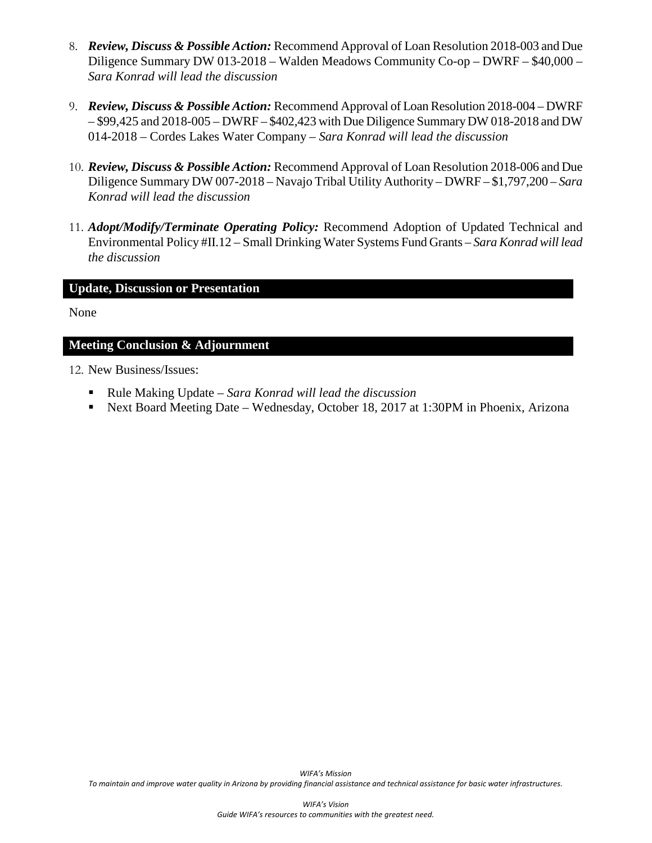- 8. *Review, Discuss & Possible Action:* Recommend Approval of Loan Resolution 2018-003 and Due Diligence Summary DW 013-2018 – Walden Meadows Community Co-op – DWRF – \$40,000 *– Sara Konrad will lead the discussion*
- 9. *Review, Discuss & Possible Action:* Recommend Approval of Loan Resolution 2018-004 DWRF – \$99,425 and 2018-005 – DWRF – \$402,423 with Due Diligence Summary DW 018-2018 and DW 014-2018 – Cordes Lakes Water Company *– Sara Konrad will lead the discussion*
- 10. *Review, Discuss & Possible Action:* Recommend Approval of Loan Resolution 2018-006 and Due Diligence Summary DW 007-2018 – Navajo Tribal Utility Authority – DWRF – \$1,797,200 *– Sara Konrad will lead the discussion*
- 11. *Adopt/Modify/Terminate Operating Policy:* Recommend Adoption of Updated Technical and Environmental Policy #II.12 – Small Drinking Water Systems Fund Grants *– Sara Konrad will lead the discussion*

#### **Update, Discussion or Presentation**

None

#### **Meeting Conclusion & Adjournment**

12. New Business/Issues:

- Rule Making Update *Sara Konrad will lead the discussion*
- Next Board Meeting Date Wednesday, October 18, 2017 at 1:30PM in Phoenix, Arizona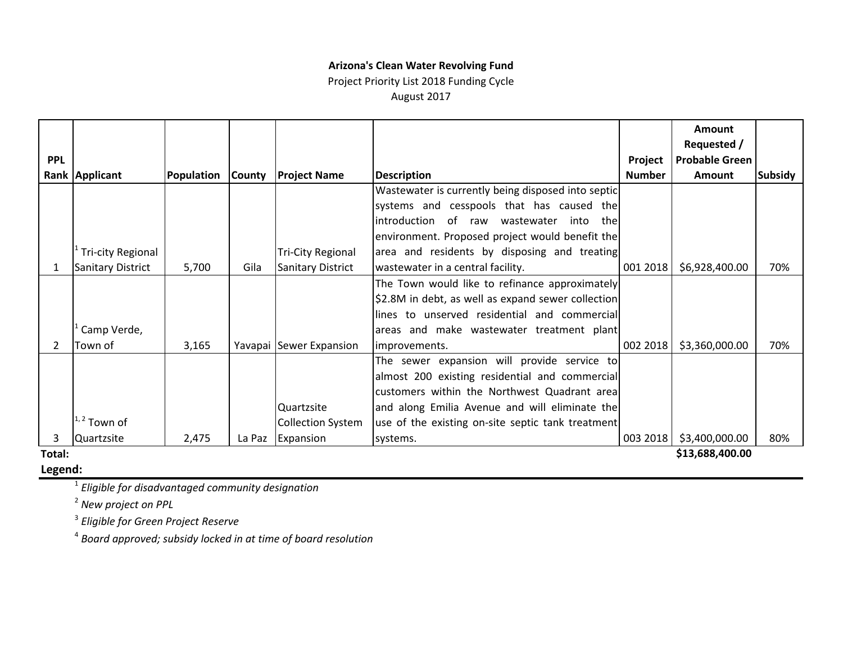#### **Arizona's Clean Water Revolving Fund**

#### Project Priority List 2018 Funding Cycle August 2017

|            |                          |            |               |                          |                                                        |               | <b>Amount</b>         |                |
|------------|--------------------------|------------|---------------|--------------------------|--------------------------------------------------------|---------------|-----------------------|----------------|
|            |                          |            |               |                          |                                                        |               | Requested /           |                |
| <b>PPL</b> |                          |            |               |                          |                                                        | Project       | <b>Probable Green</b> |                |
|            | Rank Applicant           | Population | <b>County</b> | <b>Project Name</b>      | <b>Description</b>                                     | <b>Number</b> | Amount                | <b>Subsidy</b> |
|            |                          |            |               |                          | Wastewater is currently being disposed into septic     |               |                       |                |
|            |                          |            |               |                          | systems and cesspools that has caused the              |               |                       |                |
|            |                          |            |               |                          | introduction<br>of<br>wastewater<br>raw<br>into<br>the |               |                       |                |
|            |                          |            |               |                          | environment. Proposed project would benefit the        |               |                       |                |
|            | <b>Tri-city Regional</b> |            |               | <b>Tri-City Regional</b> | area and residents by disposing and treating           |               |                       |                |
| 1          | <b>Sanitary District</b> | 5,700      | Gila          | <b>Sanitary District</b> | wastewater in a central facility.                      | 001 2018      | \$6,928,400.00        | 70%            |
|            |                          |            |               |                          | The Town would like to refinance approximately         |               |                       |                |
|            |                          |            |               |                          | \$2.8M in debt, as well as expand sewer collection     |               |                       |                |
|            |                          |            |               |                          | lines to unserved residential and commercial           |               |                       |                |
|            | Camp Verde,              |            |               |                          | areas and make wastewater treatment plant              |               |                       |                |
| 2          | Town of                  | 3,165      |               | Yavapai Sewer Expansion  | improvements.                                          | 002 2018      | \$3,360,000.00        | 70%            |
|            |                          |            |               |                          | The sewer expansion will provide service to            |               |                       |                |
|            |                          |            |               |                          | almost 200 existing residential and commercial         |               |                       |                |
|            |                          |            |               |                          | customers within the Northwest Quadrant area           |               |                       |                |
|            |                          |            |               | Quartzsite               | and along Emilia Avenue and will eliminate the         |               |                       |                |
|            | <sup>1, 2</sup> Town of  |            |               | <b>Collection System</b> | use of the existing on-site septic tank treatment      |               |                       |                |
| 3          | Quartzsite               | 2,475      | La Paz        | Expansion                | systems.                                               | 003 2018      | \$3,400,000.00        | 80%            |
| Total:     |                          |            |               |                          |                                                        |               | \$13,688,400.00       |                |

#### **Total:**

**Legend:**

<sup>1</sup> *Eligible for disadvantaged community designation*

<sup>2</sup> *New project on PPL*

<sup>3</sup> *Eligible for Green Project Reserve*

<sup>4</sup> *Board approved; subsidy locked in at time of board resolution*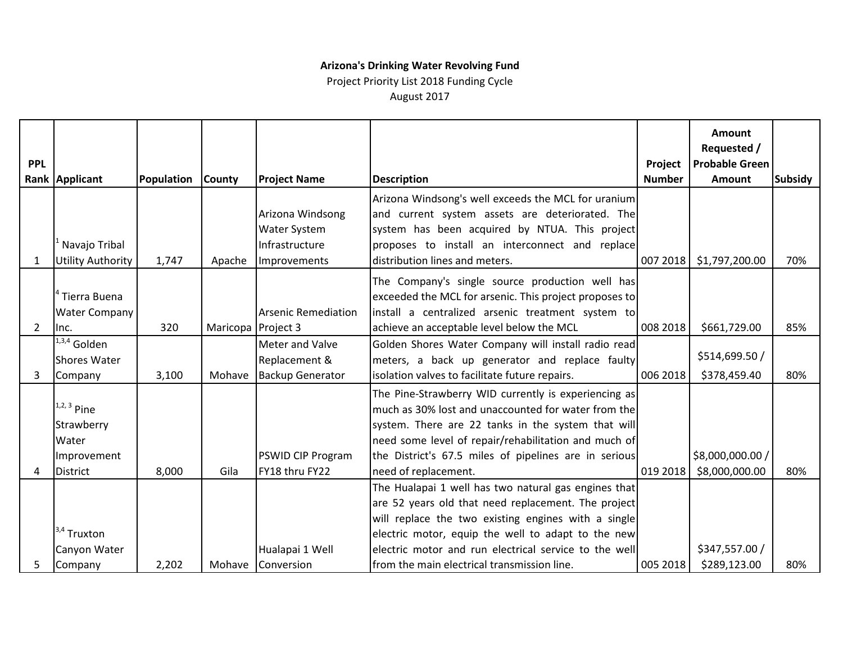## **Arizona's Drinking Water Revolving Fund**

Project Priority List 2018 Funding Cycle

August 2017

|                |                          |            |                    |                            |                                                        |               | <b>Amount</b><br>Requested / |                |
|----------------|--------------------------|------------|--------------------|----------------------------|--------------------------------------------------------|---------------|------------------------------|----------------|
| <b>PPL</b>     |                          |            |                    |                            |                                                        | Project       | <b>Probable Green</b>        |                |
|                | Rank Applicant           | Population | <b>County</b>      | <b>Project Name</b>        | <b>Description</b>                                     | <b>Number</b> | <b>Amount</b>                | <b>Subsidy</b> |
|                |                          |            |                    |                            | Arizona Windsong's well exceeds the MCL for uranium    |               |                              |                |
|                |                          |            |                    | Arizona Windsong           | and current system assets are deteriorated. The        |               |                              |                |
|                |                          |            |                    | <b>Water System</b>        | system has been acquired by NTUA. This project         |               |                              |                |
|                | Navajo Tribal            |            |                    | Infrastructure             | proposes to install an interconnect and replace        |               |                              |                |
| 1              | <b>Utility Authority</b> | 1,747      | Apache             | Improvements               | distribution lines and meters.                         | 007 2018      | \$1,797,200.00               | 70%            |
|                |                          |            |                    |                            | The Company's single source production well has        |               |                              |                |
|                | Tierra Buena             |            |                    |                            | exceeded the MCL for arsenic. This project proposes to |               |                              |                |
|                | <b>Water Company</b>     |            |                    | <b>Arsenic Remediation</b> | install a centralized arsenic treatment system to      |               |                              |                |
| $\overline{2}$ | Inc.                     | 320        | Maricopa Project 3 |                            | achieve an acceptable level below the MCL              | 008 2018      | \$661,729.00                 | 85%            |
|                | $1,3,4$ Golden           |            |                    | Meter and Valve            | Golden Shores Water Company will install radio read    |               |                              |                |
|                | Shores Water             |            |                    | Replacement &              | meters, a back up generator and replace faulty         |               | \$514,699.50 /               |                |
| 3              | Company                  | 3,100      | Mohave             | <b>Backup Generator</b>    | isolation valves to facilitate future repairs.         | 006 2018      | \$378,459.40                 | 80%            |
|                |                          |            |                    |                            | The Pine-Strawberry WID currently is experiencing as   |               |                              |                |
|                | $1,2,3$ Pine             |            |                    |                            | much as 30% lost and unaccounted for water from the    |               |                              |                |
|                | Strawberry               |            |                    |                            | system. There are 22 tanks in the system that will     |               |                              |                |
|                | Water                    |            |                    |                            | need some level of repair/rehabilitation and much of   |               |                              |                |
|                | Improvement              |            |                    | <b>PSWID CIP Program</b>   | the District's 67.5 miles of pipelines are in serious  |               | \$8,000,000.00 /             |                |
| 4              | <b>District</b>          | 8,000      | Gila               | FY18 thru FY22             | need of replacement.                                   | 019 2018      | \$8,000,000.00               | 80%            |
|                |                          |            |                    |                            | The Hualapai 1 well has two natural gas engines that   |               |                              |                |
|                |                          |            |                    |                            | are 52 years old that need replacement. The project    |               |                              |                |
|                |                          |            |                    |                            | will replace the two existing engines with a single    |               |                              |                |
|                | $1^{3,4}$ Truxton        |            |                    |                            | electric motor, equip the well to adapt to the new     |               |                              |                |
|                | Canyon Water             |            |                    | Hualapai 1 Well            | electric motor and run electrical service to the well  |               | \$347,557.00 /               |                |
| 5              | Company                  | 2,202      |                    | Mohave Conversion          | from the main electrical transmission line.            | 005 2018      | \$289,123.00                 | 80%            |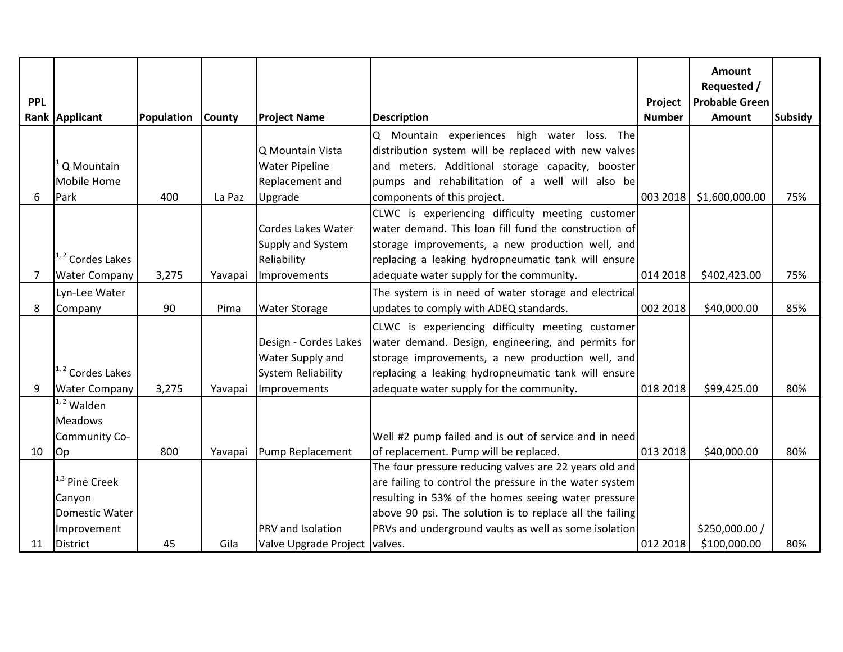|                |                           |            |               |                           |                                                          |               | <b>Amount</b>         |                |
|----------------|---------------------------|------------|---------------|---------------------------|----------------------------------------------------------|---------------|-----------------------|----------------|
| <b>PPL</b>     |                           |            |               |                           |                                                          |               | Requested /           |                |
|                |                           |            |               |                           |                                                          | Project       | <b>Probable Green</b> |                |
|                | Rank Applicant            | Population | <b>County</b> | <b>Project Name</b>       | <b>Description</b>                                       | <b>Number</b> | <b>Amount</b>         | <b>Subsidy</b> |
|                |                           |            |               |                           | Q Mountain experiences high water loss. The              |               |                       |                |
|                |                           |            |               | Q Mountain Vista          | distribution system will be replaced with new valves     |               |                       |                |
|                | Q Mountain                |            |               | <b>Water Pipeline</b>     | and meters. Additional storage capacity, booster         |               |                       |                |
|                | Mobile Home               |            |               | Replacement and           | pumps and rehabilitation of a well will also be          |               |                       |                |
| 6              | Park                      | 400        | La Paz        | Upgrade                   | components of this project.                              | 003 2018      | \$1,600,000.00        | 75%            |
|                |                           |            |               |                           | CLWC is experiencing difficulty meeting customer         |               |                       |                |
|                |                           |            |               | <b>Cordes Lakes Water</b> | water demand. This loan fill fund the construction of    |               |                       |                |
|                |                           |            |               | Supply and System         | storage improvements, a new production well, and         |               |                       |                |
|                | 1,2 Cordes Lakes          |            |               | Reliability               | replacing a leaking hydropneumatic tank will ensure      |               |                       |                |
| $\overline{7}$ | <b>Water Company</b>      | 3,275      | Yavapai       | Improvements              | adequate water supply for the community.                 | 014 2018      | \$402,423.00          | 75%            |
|                | Lyn-Lee Water             |            |               |                           | The system is in need of water storage and electrical    |               |                       |                |
| 8              | Company                   | 90         | Pima          | <b>Water Storage</b>      | updates to comply with ADEQ standards.                   | 002 2018      | \$40,000.00           | 85%            |
|                |                           |            |               |                           | CLWC is experiencing difficulty meeting customer         |               |                       |                |
|                |                           |            |               | Design - Cordes Lakes     | water demand. Design, engineering, and permits for       |               |                       |                |
|                |                           |            |               | Water Supply and          | storage improvements, a new production well, and         |               |                       |                |
|                | $1, 2$ Cordes Lakes       |            |               | <b>System Reliability</b> | replacing a leaking hydropneumatic tank will ensure      |               |                       |                |
| 9              | <b>Water Company</b>      | 3,275      | Yavapai       | Improvements              | adequate water supply for the community.                 | 018 2018      | \$99,425.00           | 80%            |
|                | $1, 2$ Walden             |            |               |                           |                                                          |               |                       |                |
|                | <b>Meadows</b>            |            |               |                           |                                                          |               |                       |                |
|                | Community Co-             |            |               |                           | Well #2 pump failed and is out of service and in need    |               |                       |                |
| 10             | Op                        | 800        |               | Yavapai Pump Replacement  | of replacement. Pump will be replaced.                   | 013 2018      | \$40,000.00           | 80%            |
|                |                           |            |               |                           | The four pressure reducing valves are 22 years old and   |               |                       |                |
|                | <sup>1,3</sup> Pine Creek |            |               |                           | are failing to control the pressure in the water system  |               |                       |                |
|                | Canyon                    |            |               |                           | resulting in 53% of the homes seeing water pressure      |               |                       |                |
|                | <b>Domestic Water</b>     |            |               |                           | above 90 psi. The solution is to replace all the failing |               |                       |                |
|                | Improvement               |            |               | PRV and Isolation         | PRVs and underground vaults as well as some isolation    |               | \$250,000.00 /        |                |
| 11             | <b>District</b>           | 45         | Gila          | Valve Upgrade Project     | valves.                                                  | 012 2018      | \$100,000.00          | 80%            |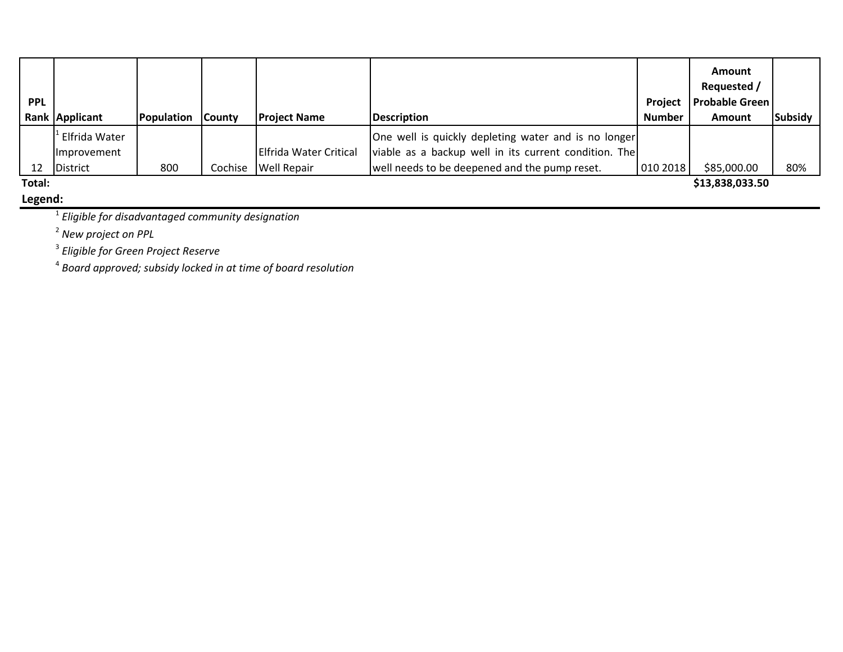|            |                    |            |               |                        |                                                       |                | <b>Amount</b><br>Requested / |                |
|------------|--------------------|------------|---------------|------------------------|-------------------------------------------------------|----------------|------------------------------|----------------|
| <b>PPL</b> |                    |            |               |                        |                                                       | <b>Project</b> | <b>Probable Green</b>        |                |
|            | Rank Applicant     | Population | <b>County</b> | <b>Project Name</b>    | Description                                           | <b>Number</b>  | <b>Amount</b>                | <b>Subsidy</b> |
|            | Elfrida Water      |            |               |                        | One well is quickly depleting water and is no longer  |                |                              |                |
|            | <b>Improvement</b> |            |               | Elfrida Water Critical | viable as a backup well in its current condition. The |                |                              |                |
| 12         | <b>District</b>    | 800        | Cochise       | <b>Well Repair</b>     | well needs to be deepened and the pump reset.         | 010 2018       | \$85,000.00                  | 80%            |
| Total:     |                    |            |               |                        |                                                       |                | \$13,838,033.50              |                |

**Legend:**

<sup>1</sup> *Eligible for disadvantaged community designation*

<sup>2</sup> *New project on PPL*

<sup>3</sup> *Eligible for Green Project Reserve*

<sup>4</sup> *Board approved; subsidy locked in at time of board resolution*